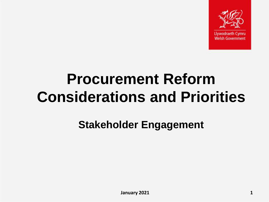

Llywodraeth

# **Procurement Reform Considerations and Priorities**

**Stakeholder Engagement**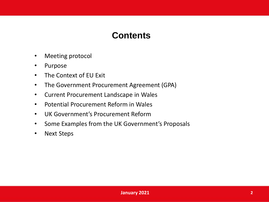#### **Contents**

- Meeting protocol
- Purpose
- The Context of EU Exit
- The Government Procurement Agreement (GPA)
- Current Procurement Landscape in Wales
- Potential Procurement Reform in Wales
- UK Government's Procurement Reform
- Some Examples from the UK Government's Proposals
- **Next Steps**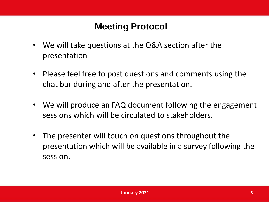# **Meeting Protocol**

- We will take questions at the Q&A section after the presentation.
- Please feel free to post questions and comments using the chat bar during and after the presentation.
- We will produce an FAQ document following the engagement sessions which will be circulated to stakeholders.
- The presenter will touch on questions throughout the presentation which will be available in a survey following the session.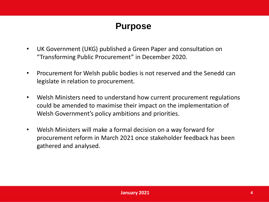# **Purpose**

- UK Government (UKG) published a Green Paper and consultation on "Transforming Public Procurement" in December 2020.
- Procurement for Welsh public bodies is not reserved and the Senedd can legislate in relation to procurement.
- Welsh Ministers need to understand how current procurement regulations could be amended to maximise their impact on the implementation of Welsh Government's policy ambitions and priorities.
- Welsh Ministers will make a formal decision on a way forward for procurement reform in March 2021 once stakeholder feedback has been gathered and analysed.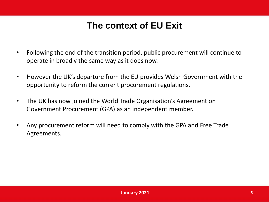# **The context of EU Exit**

- Following the end of the transition period, public procurement will continue to operate in broadly the same way as it does now.
- However the UK's departure from the EU provides Welsh Government with the opportunity to reform the current procurement regulations.
- The UK has now joined the World Trade Organisation's Agreement on Government Procurement (GPA) as an independent member.
- Any procurement reform will need to comply with the GPA and Free Trade Agreements.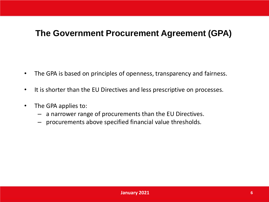#### **The Government Procurement Agreement (GPA)**

- The GPA is based on principles of openness, transparency and fairness.
- It is shorter than the EU Directives and less prescriptive on processes.
- The GPA applies to:
	- a narrower range of procurements than the EU Directives.
	- procurements above specified financial value thresholds.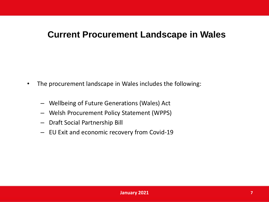#### **Current Procurement Landscape in Wales**

- The procurement landscape in Wales includes the following:
	- Wellbeing of Future Generations (Wales) Act
	- Welsh Procurement Policy Statement (WPPS)
	- Draft Social Partnership Bill
	- EU Exit and economic recovery from Covid-19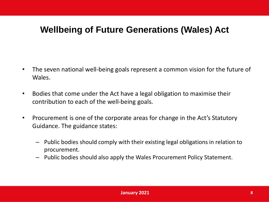### **Wellbeing of Future Generations (Wales) Act**

- The seven national well-being goals represent a common vision for the future of Wales.
- Bodies that come under the Act have a legal obligation to maximise their contribution to each of the well-being goals.
- Procurement is one of the corporate areas for change in the Act's Statutory Guidance. The guidance states:
	- Public bodies should comply with their existing legal obligations in relation to procurement.
	- Public bodies should also apply the Wales Procurement Policy Statement.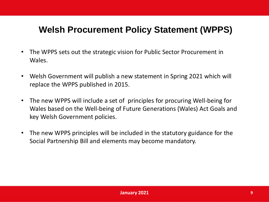# **Welsh Procurement Policy Statement (WPPS)**

- The WPPS sets out the strategic vision for Public Sector Procurement in Wales.
- Welsh Government will publish a new statement in Spring 2021 which will replace the WPPS published in 2015.
- The new WPPS will include a set of principles for procuring Well-being for Wales based on the Well-being of Future Generations (Wales) Act Goals and key Welsh Government policies.
- The new WPPS principles will be included in the statutory guidance for the Social Partnership Bill and elements may become mandatory.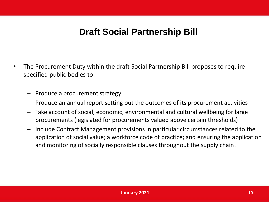#### **Draft Social Partnership Bill**

- The Procurement Duty within the draft Social Partnership Bill proposes to require specified public bodies to:
	- Produce a procurement strategy
	- Produce an annual report setting out the outcomes of its procurement activities
	- Take account of social, economic, environmental and cultural wellbeing for large procurements (legislated for procurements valued above certain thresholds)
	- Include Contract Management provisions in particular circumstances related to the application of social value; a workforce code of practice; and ensuring the application and monitoring of socially responsible clauses throughout the supply chain.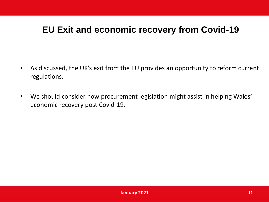# **EU Exit and economic recovery from Covid-19**

- As discussed, the UK's exit from the EU provides an opportunity to reform current regulations.
- We should consider how procurement legislation might assist in helping Wales' economic recovery post Covid-19.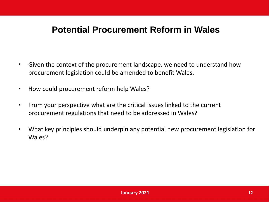#### **Potential Procurement Reform in Wales**

- Given the context of the procurement landscape, we need to understand how procurement legislation could be amended to benefit Wales.
- How could procurement reform help Wales?
- From your perspective what are the critical issues linked to the current procurement regulations that need to be addressed in Wales?
- What key principles should underpin any potential new procurement legislation for Wales?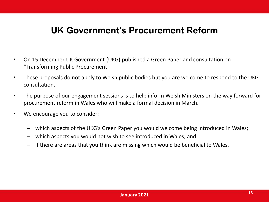#### **UK Government's Procurement Reform**

- On 15 December UK Government (UKG) published a Green Paper and consultation on "Transforming Public Procurement".
- These proposals do not apply to Welsh public bodies but you are welcome to respond to the UKG consultation.
- The purpose of our engagement sessions is to help inform Welsh Ministers on the way forward for procurement reform in Wales who will make a formal decision in March.
- We encourage you to consider:
	- which aspects of the UKG's Green Paper you would welcome being introduced in Wales;
	- which aspects you would not wish to see introduced in Wales; and
	- if there are areas that you think are missing which would be beneficial to Wales.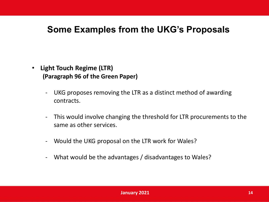#### **Some Examples from the UKG's Proposals**

- **Light Touch Regime (LTR) (Paragraph 96 of the Green Paper)** 
	- UKG proposes removing the LTR as a distinct method of awarding contracts.
	- This would involve changing the threshold for LTR procurements to the same as other services.
	- Would the UKG proposal on the LTR work for Wales?
	- What would be the advantages / disadvantages to Wales?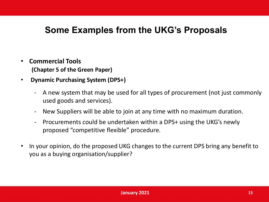# **Some Examples from the UKG's Proposals**

- **Commercial Tools (Chapter 5 of the Green Paper)**
- **Dynamic Purchasing System (DPS+)** 
	- A new system that may be used for all types of procurement (not just commonly used goods and services).
	- New Suppliers will be able to join at any time with no maximum duration.
	- Procurements could be undertaken within a DPS+ using the UKG's newly proposed "competitive flexible" procedure.
- In your opinion, do the proposed UKG changes to the current DPS bring any benefit to you as a buying organisation/supplier?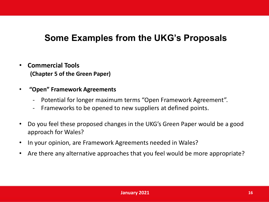# **Some Examples from the UKG's Proposals**

- **Commercial Tools (Chapter 5 of the Green Paper)**
- **"Open" Framework Agreements**
	- Potential for longer maximum terms "Open Framework Agreement".
	- Frameworks to be opened to new suppliers at defined points.
- Do you feel these proposed changes in the UKG's Green Paper would be a good approach for Wales?
- In your opinion, are Framework Agreements needed in Wales?
- Are there any alternative approaches that you feel would be more appropriate?